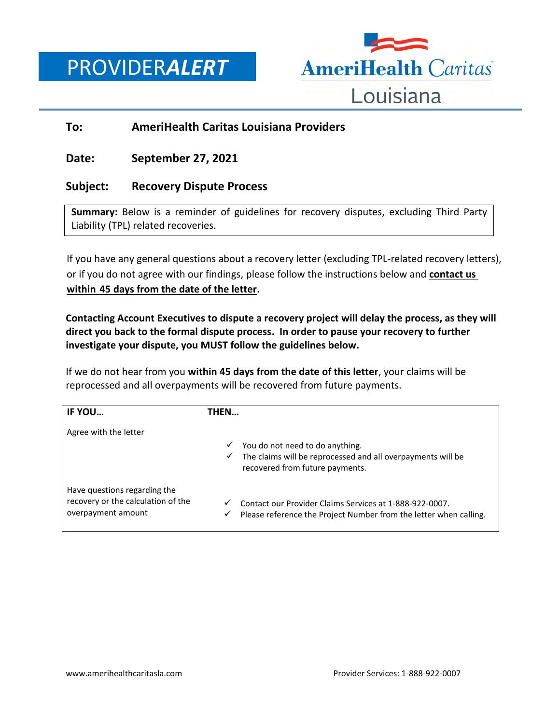PROVIDER*ALERT*



# **To: AmeriHealth Caritas Louisiana Providers**

# **Date: September 27, 2021**

## **Subject: Recovery Dispute Process**

**Summary:** Below is a reminder of guidelines for recovery disputes, excluding Third Party Liability (TPL) related recoveries.

If you have any general questions about a recovery letter (excluding TPL-related recovery letters), or if you do not agree with our findings, please follow the instructions below and **contact us within 45 days from the date of the letter.** 

**Contacting Account Executives to dispute a recovery project will delay the process, as they will direct you back to the formal dispute process. In order to pause your recovery to further investigate your dispute, you MUST follow the guidelines below.** 

If we do not hear from you **within 45 days from the date of this letter**, your claims will be reprocessed and all overpayments will be recovered from future payments.

| IF YOU                                                                                   | THEN                                                                                                                                        |
|------------------------------------------------------------------------------------------|---------------------------------------------------------------------------------------------------------------------------------------------|
| Agree with the letter                                                                    | You do not need to do anything.<br>✓<br>The claims will be reprocessed and all overpayments will be<br>✓<br>recovered from future payments. |
| Have questions regarding the<br>recovery or the calculation of the<br>overpayment amount | Contact our Provider Claims Services at 1-888-922-0007.<br>Please reference the Project Number from the letter when calling.<br>✓           |